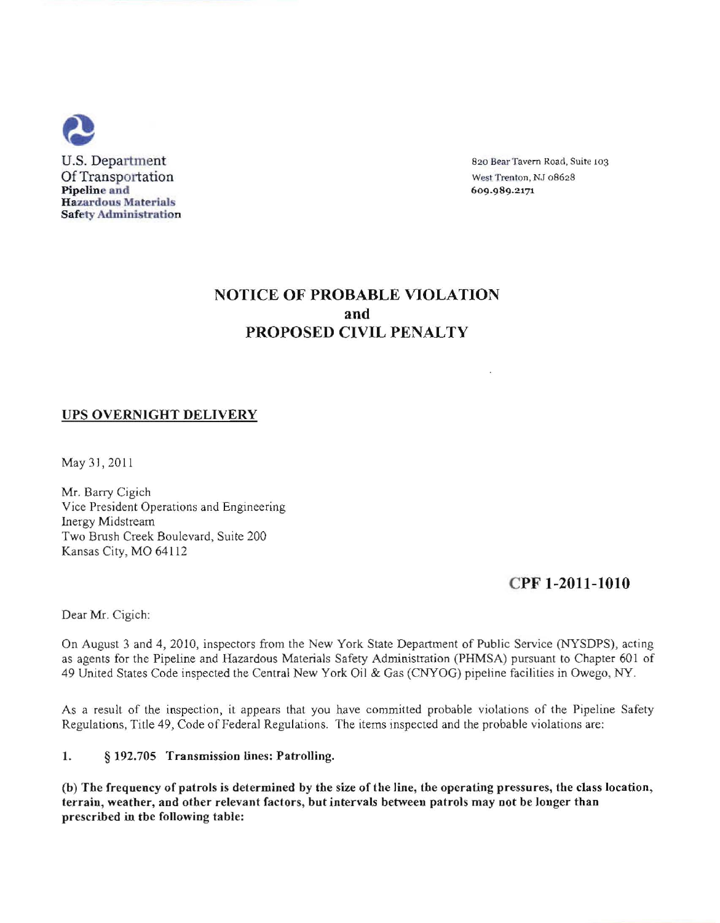

# NOTICE OF PROBABLE VIOLATION and PROPOSED CIVIL PENALTY

## UPS OVERNIGHT DELIVERY

May 31, 2011

Mr. Barry Cigich Vice President Operations and Engineering lnergy Midstream Two Brush Creek Boulevard, Suite 200 Kansas City, MO 64112

## CPF 1-2011-1010

Dear Mr. Cigich:

On August 3 and 4,2010, inspectors from the New York State Department of Public Service (NYSDPS), acting as agents for the Pipeline and Hazardous Materials Safety Administration (PHMSA) pursuant to Chapter 601 of 49 United States Code inspected the Central New York Oil & Gas (CNYOG) pipeline facilities in Owego, NY.

As a result of the inspection, it appears that you have committed probable violations of the Pipeline Safety Regulations, Title 49, Code of Federal Regulations. The items inspected and the probable violations are:

#### I. § 192.705 Transmission lines: Patrolling.

(b) Tbe frequency of patrols is determined by tbe size of the line, tbe operating pressures, the class location, terrain, weather, and otber relevant factors, but intervals between patrols may not be longer than prescribed in tbe following table: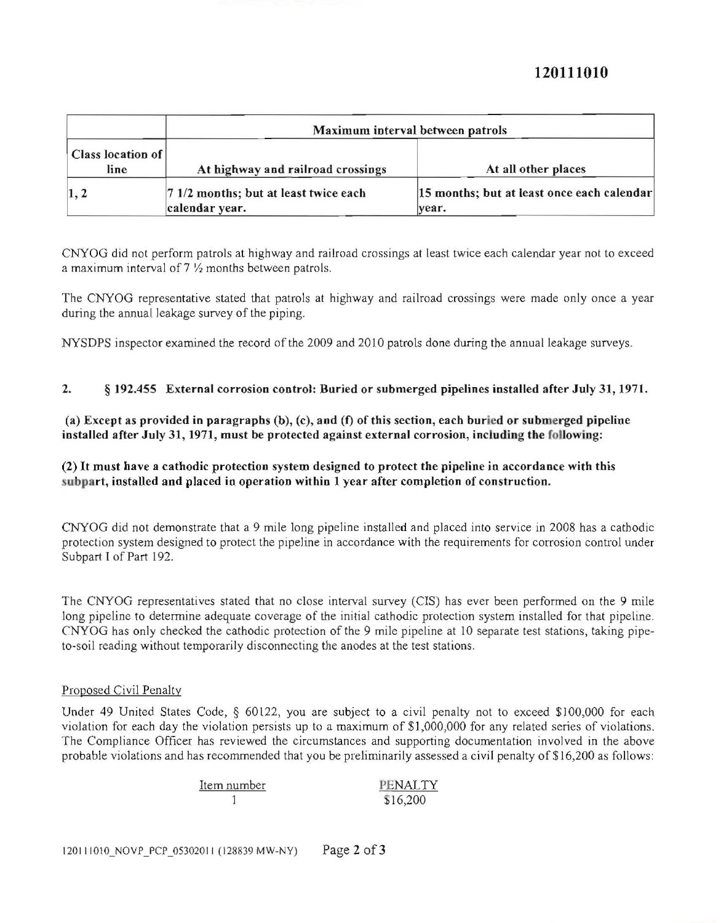# **120111010**

| Class location of<br>line | Maximum interval between patrols                        |                                                     |
|---------------------------|---------------------------------------------------------|-----------------------------------------------------|
|                           | At highway and railroad crossings                       | At all other places                                 |
| $\vert 1, 2 \vert$        | 7 1/2 months; but at least twice each<br>calendar year. | 15 months; but at least once each calendar<br>year. |

CNYOG did not perform patrols at highway and railroad crossings at least twice each calendar year not to exceed a maximum interval of  $7\frac{1}{2}$  months between patrols.

The CNYOG representative stated that patrols at highway and railroad crossings were made only once a year during the annual leakage survey of the piping.

NYSDPS inspector examined the record of the 2009 and 2010 patrols done during the annual leakage surveys.

### 2. § 192.455 External corrosion control: Buried or submerged pipelines installed after July 31, 1971.

(a) Except as provided in paragraphs  $(b)$ , (c), and (f) of this section, each buried or submerged pipeline installed after July 31, 1971, must be protected against external corrosion, including the following:

### (2) It must have a cathodic protection system designed to protect the pipeline in accordance with tbis subpart, installed and placed in operation within 1 year after completion of construction.

CNYOG did not demonstrate that a 9 mile long pipeline installed and placed into service in 2008 has a cathodic protection system designed to protect the pipeline in accordance with the requirements for corrosion control under Subpart I of Part 192.

The CNYOG representatives stated that no close interval survey (CIS) has ever been performed on the 9 mile long pipeline to determine adequate coverage of the initial cathodic protection system installed for that pipeline. CNYOG has only checked the cathodic protection of the 9 mile pipeline at 10 separate test stations, taking pipeto·soil reading without temporarily disconnecting the anodes at the test stations.

#### Proposed Civil Penalty

Under 49 United States Code, § 60122, you are subject to a civil penalty not to exceed \$100,000 for each violation for each day the violation persists up to a maximum of \$1,000,000 for any related series of violations. The Compliance Officer has reviewed the circumstances and supporting documentation involved in the above probable violations and has recommended that you be preliminarily assessed a civil penalty of \$16,200 as follows:

| Item number | PENALTY  |
|-------------|----------|
|             | \$16,200 |